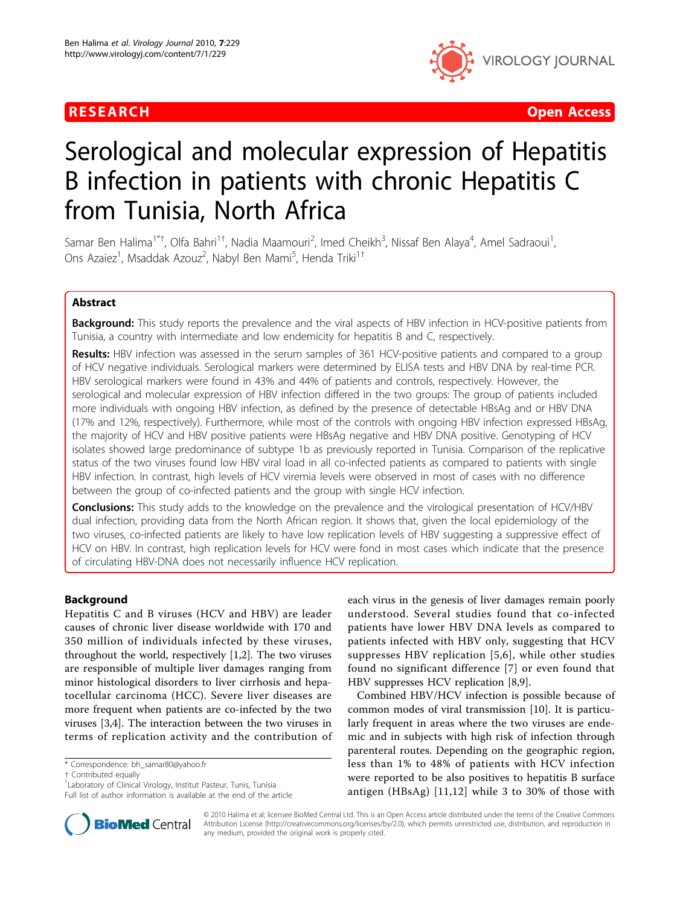

**RESEARCH Open Access Contract Contract Contract Contract Contract Contract Contract Contract Contract Contract Contract Contract Contract Contract Contract Contract Contract Contract Contract Contract Contract Contract** 

# Serological and molecular expression of Hepatitis B infection in patients with chronic Hepatitis C from Tunisia, North Africa

Samar Ben Halima<sup>1\*†</sup>, Olfa Bahri<sup>1†</sup>, Nadia Maamouri<sup>2</sup>, Imed Cheikh<sup>3</sup>, Nissaf Ben Alaya<sup>4</sup>, Amel Sadraoui<sup>1</sup> , Ons Azaiez<sup>1</sup>, Msaddak Azouz<sup>2</sup>, Nabyl Ben Mami<sup>5</sup>, Henda Triki<sup>1†</sup>

# Abstract

**Background:** This study reports the prevalence and the viral aspects of HBV infection in HCV-positive patients from Tunisia, a country with intermediate and low endemicity for hepatitis B and C, respectively.

Results: HBV infection was assessed in the serum samples of 361 HCV-positive patients and compared to a group of HCV negative individuals. Serological markers were determined by ELISA tests and HBV DNA by real-time PCR. HBV serological markers were found in 43% and 44% of patients and controls, respectively. However, the serological and molecular expression of HBV infection differed in the two groups: The group of patients included more individuals with ongoing HBV infection, as defined by the presence of detectable HBsAg and or HBV DNA (17% and 12%, respectively). Furthermore, while most of the controls with ongoing HBV infection expressed HBsAg, the majority of HCV and HBV positive patients were HBsAg negative and HBV DNA positive. Genotyping of HCV isolates showed large predominance of subtype 1b as previously reported in Tunisia. Comparison of the replicative status of the two viruses found low HBV viral load in all co-infected patients as compared to patients with single HBV infection. In contrast, high levels of HCV viremia levels were observed in most of cases with no difference between the group of co-infected patients and the group with single HCV infection.

**Conclusions:** This study adds to the knowledge on the prevalence and the virological presentation of HCV/HBV dual infection, providing data from the North African region. It shows that, given the local epidemiology of the two viruses, co-infected patients are likely to have low replication levels of HBV suggesting a suppressive effect of HCV on HBV. In contrast, high replication levels for HCV were fond in most cases which indicate that the presence of circulating HBV-DNA does not necessarily influence HCV replication.

# Background

Hepatitis C and B viruses (HCV and HBV) are leader causes of chronic liver disease worldwide with 170 and 350 million of individuals infected by these viruses, throughout the world, respectively [\[1,2](#page-4-0)]. The two viruses are responsible of multiple liver damages ranging from minor histological disorders to liver cirrhosis and hepatocellular carcinoma (HCC). Severe liver diseases are more frequent when patients are co-infected by the two viruses [\[3,4](#page-4-0)]. The interaction between the two viruses in terms of replication activity and the contribution of

† Contributed equally <sup>1</sup>

Full list of author information is available at the end of the article



Combined HBV/HCV infection is possible because of common modes of viral transmission [\[10](#page-5-0)]. It is particularly frequent in areas where the two viruses are endemic and in subjects with high risk of infection through parenteral routes. Depending on the geographic region, less than 1% to 48% of patients with HCV infection were reported to be also positives to hepatitis B surface antigen (HBsAg) [[11,12](#page-5-0)] while 3 to 30% of those with



© 2010 Halima et al; licensee BioMed Central Ltd. This is an Open Access article distributed under the terms of the Creative Commons Attribution License [\(http://creativecommons.org/licenses/by/2.0](http://creativecommons.org/licenses/by/2.0)), which permits unrestricted use, distribution, and reproduction in any medium, provided the original work is properly cited.

<sup>\*</sup> Correspondence: [bh\\_samar80@yahoo.fr](mailto:bh_samar80@yahoo.fr)

<sup>&</sup>lt;sup>1</sup> Laboratory of Clinical Virology, Institut Pasteur, Tunis, Tunisia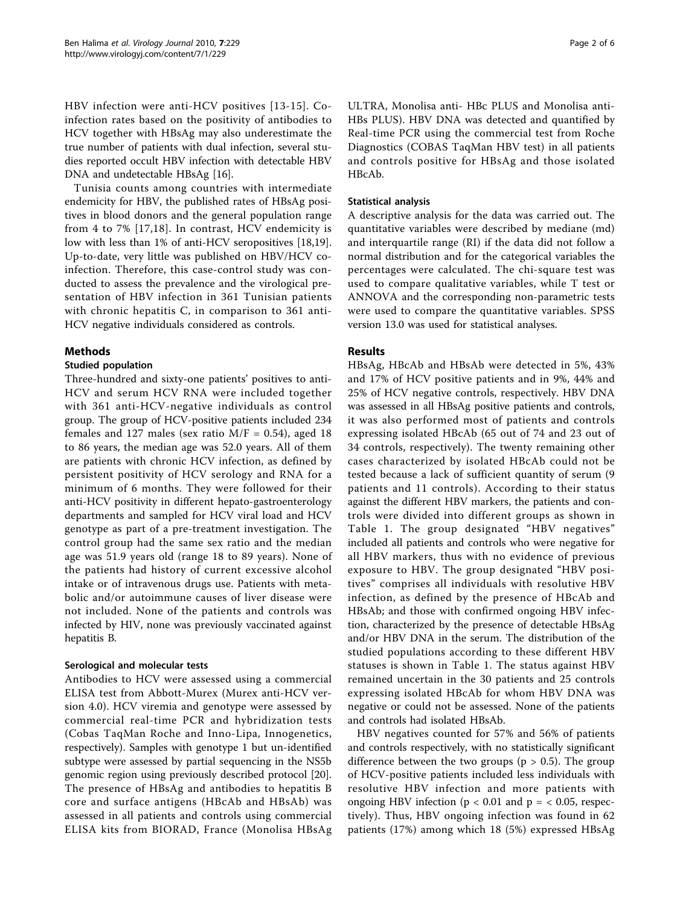HBV infection were anti-HCV positives [[13-15\]](#page-5-0). Coinfection rates based on the positivity of antibodies to HCV together with HBsAg may also underestimate the true number of patients with dual infection, several studies reported occult HBV infection with detectable HBV DNA and undetectable HBsAg [[16](#page-5-0)].

Tunisia counts among countries with intermediate endemicity for HBV, the published rates of HBsAg positives in blood donors and the general population range from 4 to 7% [\[17,18\]](#page-5-0). In contrast, HCV endemicity is low with less than 1% of anti-HCV seropositives [\[18,19](#page-5-0)]. Up-to-date, very little was published on HBV/HCV coinfection. Therefore, this case-control study was conducted to assess the prevalence and the virological presentation of HBV infection in 361 Tunisian patients with chronic hepatitis C, in comparison to 361 anti-HCV negative individuals considered as controls.

# Methods

# Studied population

Three-hundred and sixty-one patients' positives to anti-HCV and serum HCV RNA were included together with 361 anti-HCV-negative individuals as control group. The group of HCV-positive patients included 234 females and 127 males (sex ratio  $M/F = 0.54$ ), aged 18 to 86 years, the median age was 52.0 years. All of them are patients with chronic HCV infection, as defined by persistent positivity of HCV serology and RNA for a minimum of 6 months. They were followed for their anti-HCV positivity in different hepato-gastroenterology departments and sampled for HCV viral load and HCV genotype as part of a pre-treatment investigation. The control group had the same sex ratio and the median age was 51.9 years old (range 18 to 89 years). None of the patients had history of current excessive alcohol intake or of intravenous drugs use. Patients with metabolic and/or autoimmune causes of liver disease were not included. None of the patients and controls was infected by HIV, none was previously vaccinated against hepatitis B.

#### Serological and molecular tests

Antibodies to HCV were assessed using a commercial ELISA test from Abbott-Murex (Murex anti-HCV version 4.0). HCV viremia and genotype were assessed by commercial real-time PCR and hybridization tests (Cobas TaqMan Roche and Inno-Lipa, Innogenetics, respectively). Samples with genotype 1 but un-identified subtype were assessed by partial sequencing in the NS5b genomic region using previously described protocol [\[20](#page-5-0)]. The presence of HBsAg and antibodies to hepatitis B core and surface antigens (HBcAb and HBsAb) was assessed in all patients and controls using commercial ELISA kits from BIORAD, France (Monolisa HBsAg ULTRA, Monolisa anti- HBc PLUS and Monolisa anti-HBs PLUS). HBV DNA was detected and quantified by Real-time PCR using the commercial test from Roche Diagnostics (COBAS TaqMan HBV test) in all patients and controls positive for HBsAg and those isolated HBcAb.

# Statistical analysis

A descriptive analysis for the data was carried out. The quantitative variables were described by mediane (md) and interquartile range (RI) if the data did not follow a normal distribution and for the categorical variables the percentages were calculated. The chi-square test was used to compare qualitative variables, while T test or ANNOVA and the corresponding non-parametric tests were used to compare the quantitative variables. SPSS version 13.0 was used for statistical analyses.

# Results

HBsAg, HBcAb and HBsAb were detected in 5%, 43% and 17% of HCV positive patients and in 9%, 44% and 25% of HCV negative controls, respectively. HBV DNA was assessed in all HBsAg positive patients and controls, it was also performed most of patients and controls expressing isolated HBcAb (65 out of 74 and 23 out of 34 controls, respectively). The twenty remaining other cases characterized by isolated HBcAb could not be tested because a lack of sufficient quantity of serum (9 patients and 11 controls). According to their status against the different HBV markers, the patients and controls were divided into different groups as shown in Table [1.](#page-2-0) The group designated "HBV negatives" included all patients and controls who were negative for all HBV markers, thus with no evidence of previous exposure to HBV. The group designated "HBV positives" comprises all individuals with resolutive HBV infection, as defined by the presence of HBcAb and HBsAb; and those with confirmed ongoing HBV infection, characterized by the presence of detectable HBsAg and/or HBV DNA in the serum. The distribution of the studied populations according to these different HBV statuses is shown in Table [1.](#page-2-0) The status against HBV remained uncertain in the 30 patients and 25 controls expressing isolated HBcAb for whom HBV DNA was negative or could not be assessed. None of the patients and controls had isolated HBsAb.

HBV negatives counted for 57% and 56% of patients and controls respectively, with no statistically significant difference between the two groups ( $p > 0.5$ ). The group of HCV-positive patients included less individuals with resolutive HBV infection and more patients with ongoing HBV infection ( $p < 0.01$  and  $p = < 0.05$ , respectively). Thus, HBV ongoing infection was found in 62 patients (17%) among which 18 (5%) expressed HBsAg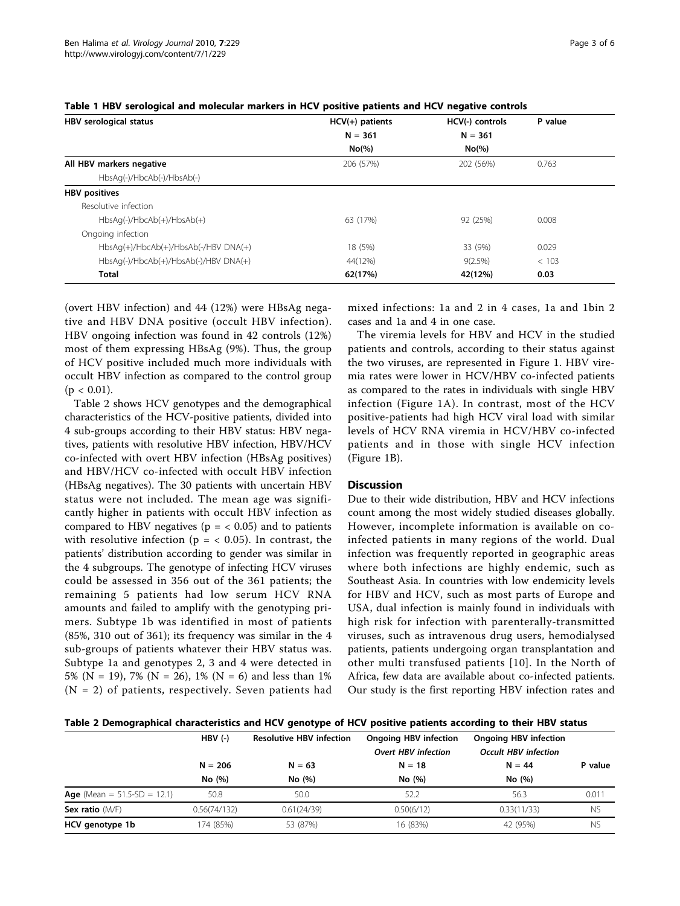| HBV serological status                  | $HCV(+)$ patients | HCV(-) controls | P value |  |
|-----------------------------------------|-------------------|-----------------|---------|--|
|                                         | $N = 361$         | $N = 361$       |         |  |
|                                         | No(%)             | $No(\% )$       |         |  |
| All HBV markers negative                | 206 (57%)         | 202 (56%)       | 0.763   |  |
| HbsAg(-)/HbcAb(-)/HbsAb(-)              |                   |                 |         |  |
| <b>HBV</b> positives                    |                   |                 |         |  |
| Resolutive infection                    |                   |                 |         |  |
| $HbsAq(-)/HbcAb(+)/HbsAb(+)$            | 63 (17%)          | 92 (25%)        | 0.008   |  |
| Ongoing infection                       |                   |                 |         |  |
| $HbsAq(+)/HbcAb(+)/HbsAb(-/HBV DNA(+))$ | 18 (5%)           | 33 (9%)         | 0.029   |  |
| HbsAq(-)/HbcAb(+)/HbsAb(-)/HBV DNA(+)   | 44(12%)           | $9(2.5\%)$      | < 103   |  |
| <b>Total</b>                            | 62(17%)           | 42(12%)         | 0.03    |  |
|                                         |                   |                 |         |  |

<span id="page-2-0"></span>

|  |  |  | Table 1 HBV serological and molecular markers in HCV positive patients and HCV negative controls |
|--|--|--|--------------------------------------------------------------------------------------------------|
|--|--|--|--------------------------------------------------------------------------------------------------|

(overt HBV infection) and 44 (12%) were HBsAg negative and HBV DNA positive (occult HBV infection). HBV ongoing infection was found in 42 controls (12%) most of them expressing HBsAg (9%). Thus, the group of HCV positive included much more individuals with occult HBV infection as compared to the control group  $(p < 0.01)$ .

Table 2 shows HCV genotypes and the demographical characteristics of the HCV-positive patients, divided into 4 sub-groups according to their HBV status: HBV negatives, patients with resolutive HBV infection, HBV/HCV co-infected with overt HBV infection (HBsAg positives) and HBV/HCV co-infected with occult HBV infection (HBsAg negatives). The 30 patients with uncertain HBV status were not included. The mean age was significantly higher in patients with occult HBV infection as compared to HBV negatives ( $p = < 0.05$ ) and to patients with resolutive infection ( $p = < 0.05$ ). In contrast, the patients' distribution according to gender was similar in the 4 subgroups. The genotype of infecting HCV viruses could be assessed in 356 out of the 361 patients; the remaining 5 patients had low serum HCV RNA amounts and failed to amplify with the genotyping primers. Subtype 1b was identified in most of patients (85%, 310 out of 361); its frequency was similar in the 4 sub-groups of patients whatever their HBV status was. Subtype 1a and genotypes 2, 3 and 4 were detected in 5% (N = 19), 7% (N = 26), 1% (N = 6) and less than 1%  $(N = 2)$  of patients, respectively. Seven patients had

mixed infections: 1a and 2 in 4 cases, 1a and 1bin 2 cases and 1a and 4 in one case.

The viremia levels for HBV and HCV in the studied patients and controls, according to their status against the two viruses, are represented in Figure [1.](#page-3-0) HBV viremia rates were lower in HCV/HBV co-infected patients as compared to the rates in individuals with single HBV infection (Figure [1A\)](#page-3-0). In contrast, most of the HCV positive-patients had high HCV viral load with similar levels of HCV RNA viremia in HCV/HBV co-infected patients and in those with single HCV infection (Figure [1B](#page-3-0)).

#### **Discussion**

Due to their wide distribution, HBV and HCV infections count among the most widely studied diseases globally. However, incomplete information is available on coinfected patients in many regions of the world. Dual infection was frequently reported in geographic areas where both infections are highly endemic, such as Southeast Asia. In countries with low endemicity levels for HBV and HCV, such as most parts of Europe and USA, dual infection is mainly found in individuals with high risk for infection with parenterally-transmitted viruses, such as intravenous drug users, hemodialysed patients, patients undergoing organ transplantation and other multi transfused patients [[10](#page-5-0)]. In the North of Africa, few data are available about co-infected patients. Our study is the first reporting HBV infection rates and

|  |  |  |  | Table 2 Demographical characteristics and HCV genotype of HCV positive patients according to their HBV status |
|--|--|--|--|---------------------------------------------------------------------------------------------------------------|
|--|--|--|--|---------------------------------------------------------------------------------------------------------------|

|                                       | $HBV$ (-)    | <b>Resolutive HBV infection</b> | <b>Ongoing HBV infection</b><br><b>Overt HBV infection</b> | <b>Ongoing HBV infection</b><br><b>Occult HBV infection</b> |           |
|---------------------------------------|--------------|---------------------------------|------------------------------------------------------------|-------------------------------------------------------------|-----------|
|                                       | $N = 206$    | $N = 63$                        | $N = 18$                                                   | $N = 44$                                                    | P value   |
|                                       | No (%)       | No (%)                          | No (%)                                                     | No (%)                                                      |           |
| <b>Age</b> (Mean = $51.5-SD = 12.1$ ) | 50.8         | 50.0                            | 52.2                                                       | 56.3                                                        | 0.011     |
| Sex ratio (M/F)                       | 0.56(74/132) | 0.61(24/39)                     | 0.50(6/12)                                                 | 0.33(11/33)                                                 | <b>NS</b> |
| HCV genotype 1b                       | 174 (85%)    | 53 (87%)                        | 16 (83%)                                                   | 42 (95%)                                                    | <b>NS</b> |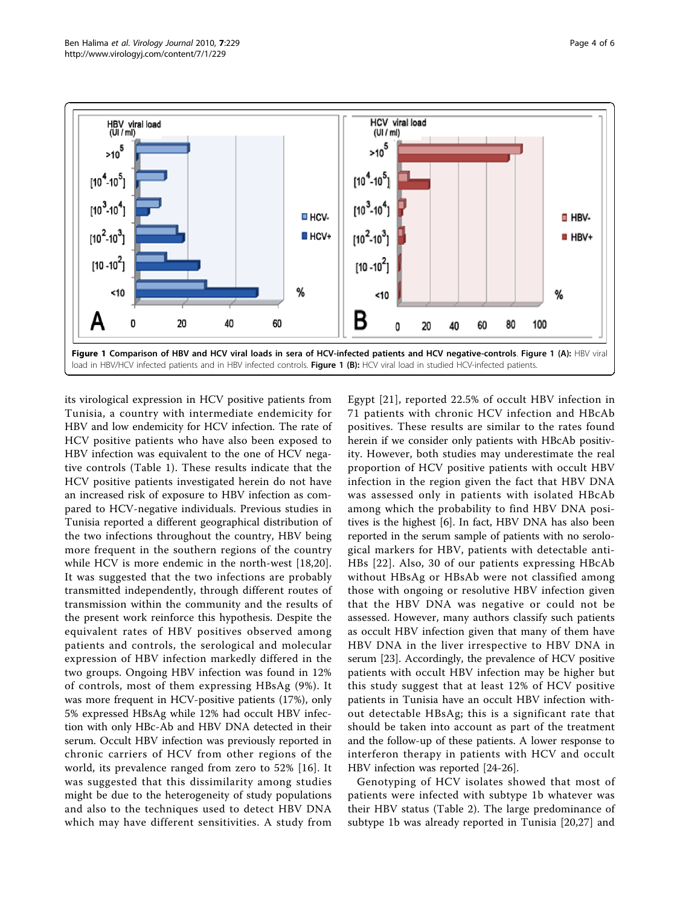<span id="page-3-0"></span>

its virological expression in HCV positive patients from Tunisia, a country with intermediate endemicity for HBV and low endemicity for HCV infection. The rate of HCV positive patients who have also been exposed to HBV infection was equivalent to the one of HCV negative controls (Table [1\)](#page-2-0). These results indicate that the HCV positive patients investigated herein do not have an increased risk of exposure to HBV infection as compared to HCV-negative individuals. Previous studies in Tunisia reported a different geographical distribution of the two infections throughout the country, HBV being more frequent in the southern regions of the country while HCV is more endemic in the north-west [[18,20](#page-5-0)]. It was suggested that the two infections are probably transmitted independently, through different routes of transmission within the community and the results of the present work reinforce this hypothesis. Despite the equivalent rates of HBV positives observed among patients and controls, the serological and molecular expression of HBV infection markedly differed in the two groups. Ongoing HBV infection was found in 12% of controls, most of them expressing HBsAg (9%). It was more frequent in HCV-positive patients (17%), only 5% expressed HBsAg while 12% had occult HBV infection with only HBc-Ab and HBV DNA detected in their serum. Occult HBV infection was previously reported in chronic carriers of HCV from other regions of the world, its prevalence ranged from zero to 52% [\[16\]](#page-5-0). It was suggested that this dissimilarity among studies might be due to the heterogeneity of study populations and also to the techniques used to detect HBV DNA which may have different sensitivities. A study from

Egypt [[21\]](#page-5-0), reported 22.5% of occult HBV infection in 71 patients with chronic HCV infection and HBcAb positives. These results are similar to the rates found herein if we consider only patients with HBcAb positivity. However, both studies may underestimate the real proportion of HCV positive patients with occult HBV infection in the region given the fact that HBV DNA was assessed only in patients with isolated HBcAb among which the probability to find HBV DNA positives is the highest [[6](#page-4-0)]. In fact, HBV DNA has also been reported in the serum sample of patients with no serological markers for HBV, patients with detectable anti-HBs [[22](#page-5-0)]. Also, 30 of our patients expressing HBcAb without HBsAg or HBsAb were not classified among those with ongoing or resolutive HBV infection given that the HBV DNA was negative or could not be assessed. However, many authors classify such patients as occult HBV infection given that many of them have HBV DNA in the liver irrespective to HBV DNA in serum [\[23](#page-5-0)]. Accordingly, the prevalence of HCV positive patients with occult HBV infection may be higher but this study suggest that at least 12% of HCV positive patients in Tunisia have an occult HBV infection without detectable HBsAg; this is a significant rate that should be taken into account as part of the treatment and the follow-up of these patients. A lower response to interferon therapy in patients with HCV and occult HBV infection was reported [\[24-26](#page-5-0)].

Genotyping of HCV isolates showed that most of patients were infected with subtype 1b whatever was their HBV status (Table [2\)](#page-2-0). The large predominance of subtype 1b was already reported in Tunisia [\[20](#page-5-0),[27\]](#page-5-0) and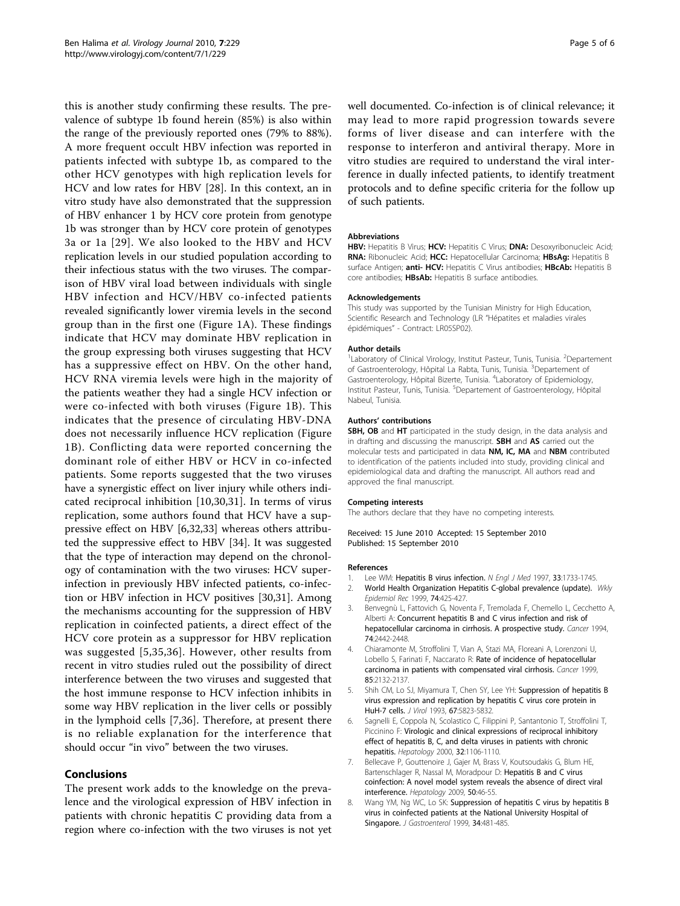<span id="page-4-0"></span>this is another study confirming these results. The prevalence of subtype 1b found herein (85%) is also within the range of the previously reported ones (79% to 88%). A more frequent occult HBV infection was reported in patients infected with subtype 1b, as compared to the other HCV genotypes with high replication levels for HCV and low rates for HBV [\[28](#page-5-0)]. In this context, an in vitro study have also demonstrated that the suppression of HBV enhancer 1 by HCV core protein from genotype 1b was stronger than by HCV core protein of genotypes 3a or 1a [[29](#page-5-0)]. We also looked to the HBV and HCV replication levels in our studied population according to their infectious status with the two viruses. The comparison of HBV viral load between individuals with single HBV infection and HCV/HBV co-infected patients revealed significantly lower viremia levels in the second group than in the first one (Figure [1A\)](#page-3-0). These findings indicate that HCV may dominate HBV replication in the group expressing both viruses suggesting that HCV has a suppressive effect on HBV. On the other hand, HCV RNA viremia levels were high in the majority of the patients weather they had a single HCV infection or were co-infected with both viruses (Figure [1B\)](#page-3-0). This indicates that the presence of circulating HBV-DNA does not necessarily influence HCV replication (Figure [1B](#page-3-0)). Conflicting data were reported concerning the dominant role of either HBV or HCV in co-infected patients. Some reports suggested that the two viruses have a synergistic effect on liver injury while others indicated reciprocal inhibition [[10](#page-5-0),[30,31\]](#page-5-0). In terms of virus replication, some authors found that HCV have a suppressive effect on HBV [6,[32,33\]](#page-5-0) whereas others attributed the suppressive effect to HBV [[34\]](#page-5-0). It was suggested that the type of interaction may depend on the chronology of contamination with the two viruses: HCV superinfection in previously HBV infected patients, co-infection or HBV infection in HCV positives [\[30](#page-5-0),[31](#page-5-0)]. Among the mechanisms accounting for the suppression of HBV replication in coinfected patients, a direct effect of the HCV core protein as a suppressor for HBV replication was suggested [5,[35,36](#page-5-0)]. However, other results from recent in vitro studies ruled out the possibility of direct interference between the two viruses and suggested that the host immune response to HCV infection inhibits in some way HBV replication in the liver cells or possibly in the lymphoid cells [7,[36\]](#page-5-0). Therefore, at present there is no reliable explanation for the interference that should occur "in vivo" between the two viruses.

# Conclusions

The present work adds to the knowledge on the prevalence and the virological expression of HBV infection in patients with chronic hepatitis C providing data from a region where co-infection with the two viruses is not yet

well documented. Co-infection is of clinical relevance; it may lead to more rapid progression towards severe forms of liver disease and can interfere with the response to interferon and antiviral therapy. More in vitro studies are required to understand the viral interference in dually infected patients, to identify treatment protocols and to define specific criteria for the follow up of such patients.

#### Abbreviations

HBV: Hepatitis B Virus; HCV: Hepatitis C Virus; DNA: Desoxyribonucleic Acid; RNA: Ribonucleic Acid; HCC: Hepatocellular Carcinoma; HBsAg: Hepatitis B surface Antigen; anti- HCV: Hepatitis C Virus antibodies; HBcAb: Hepatitis B core antibodies; HBsAb: Hepatitis B surface antibodies.

#### Acknowledgements

This study was supported by the Tunisian Ministry for High Education, Scientific Research and Technology (LR "Hépatites et maladies virales épidémiques" - Contract: LR05SP02).

#### Author details

<sup>1</sup> Laboratory of Clinical Virology, Institut Pasteur, Tunis, Tunisia. <sup>2</sup> Departement of Gastroenterology, Hôpital La Rabta, Tunis, Tunisia. <sup>3</sup>Departement of Gastroenterology, Hôpital Bizerte, Tunisia. <sup>4</sup>Laboratory of Epidemiology, Institut Pasteur, Tunis, Tunisia. <sup>5</sup>Departement of Gastroenterology, Hôpital Nabeul, Tunisia.

#### Authors' contributions

SBH, OB and HT participated in the study design, in the data analysis and in drafting and discussing the manuscript. SBH and AS carried out the molecular tests and participated in data NM, IC, MA and NBM contributed to identification of the patients included into study, providing clinical and epidemiological data and drafting the manuscript. All authors read and approved the final manuscript.

#### Competing interests

The authors declare that they have no competing interests.

Received: 15 June 2010 Accepted: 15 September 2010 Published: 15 September 2010

#### References

- Lee WM: Hepatitis B virus infection. N Engl J Med 1997, 33:1733-1745.
- 2. World Health Organization Hepatitis C-global prevalence (update). Wkly Epidemiol Rec 1999, 74:425-427.
- 3. Benvegnù L, Fattovich G, Noventa F, Tremolada F, Chemello L, Cecchetto A, Alberti A: [Concurrent hepatitis B and C virus infection and risk of](http://www.ncbi.nlm.nih.gov/pubmed/7922998?dopt=Abstract) [hepatocellular carcinoma in cirrhosis. A prospective study.](http://www.ncbi.nlm.nih.gov/pubmed/7922998?dopt=Abstract) Cancer 1994, 74:2442-2448.
- 4. Chiaramonte M, Stroffolini T, Vian A, Stazi MA, Floreani A, Lorenzoni U, Lobello S, Farinati F, Naccarato R: [Rate of incidence of hepatocellular](http://www.ncbi.nlm.nih.gov/pubmed/10326690?dopt=Abstract) [carcinoma in patients with compensated viral cirrhosis.](http://www.ncbi.nlm.nih.gov/pubmed/10326690?dopt=Abstract) Cancer 1999, 85:2132-2137.
- 5. Shih CM, Lo SJ, Miyamura T, Chen SY, Lee YH: [Suppression of hepatitis B](http://www.ncbi.nlm.nih.gov/pubmed/8396658?dopt=Abstract) [virus expression and replication by hepatitis C virus core protein in](http://www.ncbi.nlm.nih.gov/pubmed/8396658?dopt=Abstract) [HuH-7 cells.](http://www.ncbi.nlm.nih.gov/pubmed/8396658?dopt=Abstract) J Virol 1993, 67:5823-5832.
- 6. Sagnelli E, Coppola N, Scolastico C, Filippini P, Santantonio T, Stroffolini T, Piccinino F: [Virologic and clinical expressions of reciprocal inhibitory](http://www.ncbi.nlm.nih.gov/pubmed/11050062?dopt=Abstract) [effect of hepatitis B, C, and delta viruses in patients with chronic](http://www.ncbi.nlm.nih.gov/pubmed/11050062?dopt=Abstract) [hepatitis.](http://www.ncbi.nlm.nih.gov/pubmed/11050062?dopt=Abstract) Hepatology 2000, 32:1106-1110.
- 7. Bellecave P, Gouttenoire J, Gajer M, Brass V, Koutsoudakis G, Blum HE, Bartenschlager R, Nassal M, Moradpour D: [Hepatitis B and C virus](http://www.ncbi.nlm.nih.gov/pubmed/19333911?dopt=Abstract) [coinfection: A novel model system reveals the absence of direct viral](http://www.ncbi.nlm.nih.gov/pubmed/19333911?dopt=Abstract) [interference.](http://www.ncbi.nlm.nih.gov/pubmed/19333911?dopt=Abstract) Hepatology 2009, 50:46-55.
- 8. Wang YM, Ng WC, Lo SK: [Suppression of hepatitis C virus by hepatitis B](http://www.ncbi.nlm.nih.gov/pubmed/10452681?dopt=Abstract) [virus in coinfected patients at the National University Hospital of](http://www.ncbi.nlm.nih.gov/pubmed/10452681?dopt=Abstract) [Singapore.](http://www.ncbi.nlm.nih.gov/pubmed/10452681?dopt=Abstract) J Gastroenterol 1999, 34:481-485.